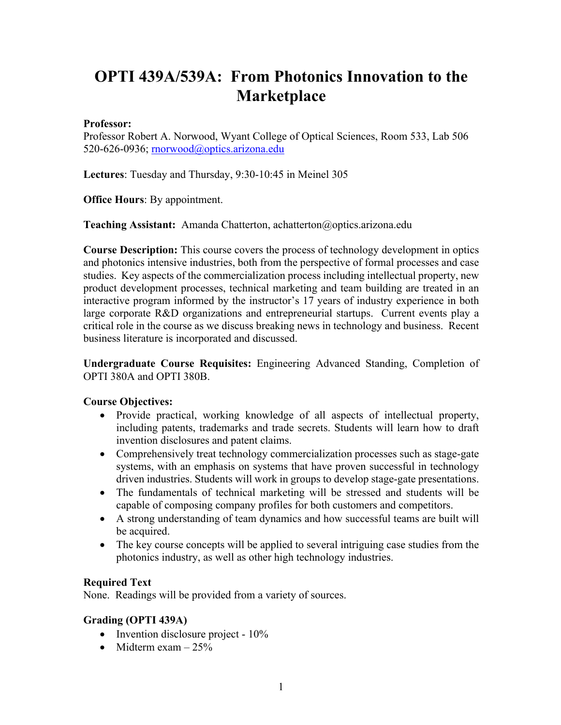# **OPTI 439A/539A: From Photonics Innovation to the Marketplace**

#### **Professor:**

Professor Robert A. Norwood, Wyant College of Optical Sciences, Room 533, Lab 506 520-626-0936; rnorwood@optics.arizona.edu

**Lectures**: Tuesday and Thursday, 9:30-10:45 in Meinel 305

**Office Hours**: By appointment.

**Teaching Assistant:** Amanda Chatterton, achatterton@optics.arizona.edu

**Course Description:** This course covers the process of technology development in optics and photonics intensive industries, both from the perspective of formal processes and case studies. Key aspects of the commercialization process including intellectual property, new product development processes, technical marketing and team building are treated in an interactive program informed by the instructor's 17 years of industry experience in both large corporate R&D organizations and entrepreneurial startups. Current events play a critical role in the course as we discuss breaking news in technology and business. Recent business literature is incorporated and discussed.

**Undergraduate Course Requisites:** Engineering Advanced Standing, Completion of OPTI 380A and OPTI 380B.

#### **Course Objectives:**

- Provide practical, working knowledge of all aspects of intellectual property, including patents, trademarks and trade secrets. Students will learn how to draft invention disclosures and patent claims.
- Comprehensively treat technology commercialization processes such as stage-gate systems, with an emphasis on systems that have proven successful in technology driven industries. Students will work in groups to develop stage-gate presentations.
- The fundamentals of technical marketing will be stressed and students will be capable of composing company profiles for both customers and competitors.
- A strong understanding of team dynamics and how successful teams are built will be acquired.
- The key course concepts will be applied to several intriguing case studies from the photonics industry, as well as other high technology industries.

#### **Required Text**

None. Readings will be provided from a variety of sources.

#### **Grading (OPTI 439A)**

- Invention disclosure project 10%
- Midterm exam  $-25\%$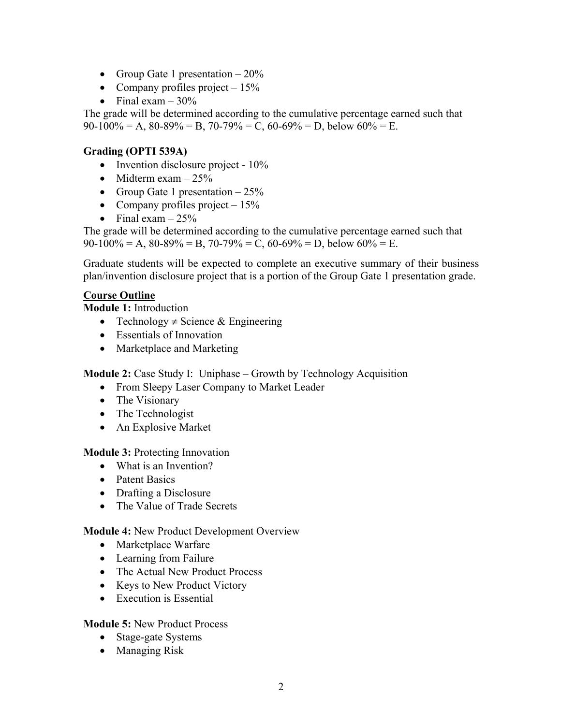- Group Gate 1 presentation  $-20\%$
- Company profiles project  $-15\%$
- Final exam  $-30\%$

The grade will be determined according to the cumulative percentage earned such that  $90-100\% = A$ ,  $80-89\% = B$ ,  $70-79\% = C$ ,  $60-69\% = D$ , below  $60\% = E$ .

## **Grading (OPTI 539A)**

- Invention disclosure project 10%
- Midterm exam  $-25%$
- Group Gate 1 presentation  $-25%$
- Company profiles project  $-15%$
- Final exam  $-25%$

The grade will be determined according to the cumulative percentage earned such that  $90-100\% = A$ ,  $80-89\% = B$ ,  $70-79\% = C$ ,  $60-69\% = D$ , below  $60\% = E$ .

Graduate students will be expected to complete an executive summary of their business plan/invention disclosure project that is a portion of the Group Gate 1 presentation grade.

## **Course Outline**

**Module 1:** Introduction

- Technology  $\neq$  Science & Engineering
- Essentials of Innovation
- Marketplace and Marketing

**Module 2:** Case Study I: Uniphase – Growth by Technology Acquisition

- From Sleepy Laser Company to Market Leader
- The Visionary
- The Technologist
- An Explosive Market

## **Module 3:** Protecting Innovation

- What is an Invention?
- Patent Basics
- Drafting a Disclosure
- The Value of Trade Secrets

## **Module 4:** New Product Development Overview

- Marketplace Warfare
- Learning from Failure
- The Actual New Product Process
- Keys to New Product Victory
- Execution is Essential

## **Module 5:** New Product Process

- Stage-gate Systems
- Managing Risk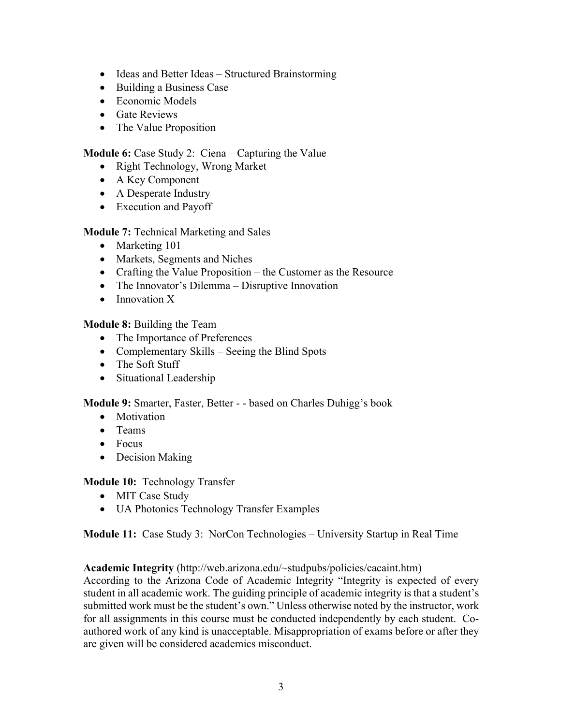- Ideas and Better Ideas Structured Brainstorming
- Building a Business Case
- Economic Models
- Gate Reviews
- The Value Proposition

**Module 6:** Case Study 2: Ciena – Capturing the Value

- Right Technology, Wrong Market
- A Key Component
- A Desperate Industry
- Execution and Payoff

**Module 7:** Technical Marketing and Sales

- Marketing 101
- Markets, Segments and Niches
- Crafting the Value Proposition the Customer as the Resource
- The Innovator's Dilemma Disruptive Innovation
- Innovation X

**Module 8:** Building the Team

- The Importance of Preferences
- Complementary Skills Seeing the Blind Spots
- The Soft Stuff
- Situational Leadership

**Module 9:** Smarter, Faster, Better - - based on Charles Duhigg's book

- Motivation
- Teams
- Focus
- Decision Making

**Module 10:** Technology Transfer

- MIT Case Study
- UA Photonics Technology Transfer Examples

**Module 11:** Case Study 3: NorCon Technologies – University Startup in Real Time

**Academic Integrity** (http://web.arizona.edu/~studpubs/policies/cacaint.htm)

According to the Arizona Code of Academic Integrity "Integrity is expected of every student in all academic work. The guiding principle of academic integrity is that a student's submitted work must be the student's own." Unless otherwise noted by the instructor, work for all assignments in this course must be conducted independently by each student. Coauthored work of any kind is unacceptable. Misappropriation of exams before or after they are given will be considered academics misconduct.